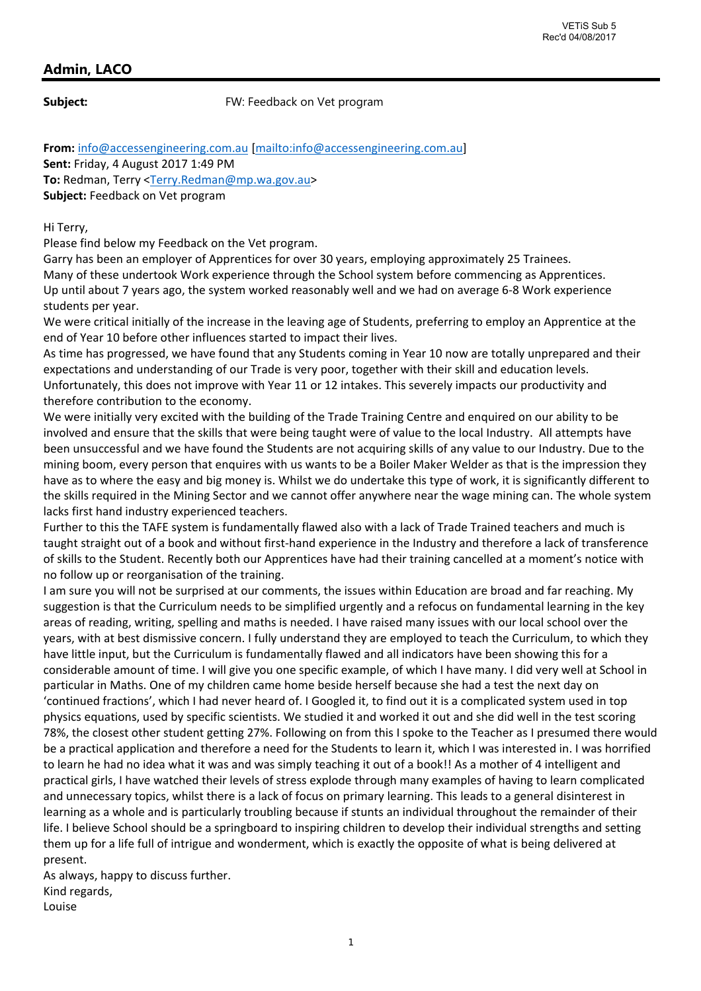## **Admin, LACO**

**Subject:** FW: Feedback on Vet program

**From:** info@accessengineering.com.au [mailto:info@accessengineering.com.au] **Sent:** Friday, 4 August 2017 1:49 PM To: Redman, Terry <Terry.Redman@mp.wa.gov.au> **Subject:** Feedback on Vet program

Hi Terry,

Please find below my Feedback on the Vet program.

Garry has been an employer of Apprentices for over 30 years, employing approximately 25 Trainees. Many of these undertook Work experience through the School system before commencing as Apprentices. Up until about 7 years ago, the system worked reasonably well and we had on average 6‐8 Work experience students per year.

We were critical initially of the increase in the leaving age of Students, preferring to employ an Apprentice at the end of Year 10 before other influences started to impact their lives.

As time has progressed, we have found that any Students coming in Year 10 now are totally unprepared and their expectations and understanding of our Trade is very poor, together with their skill and education levels. Unfortunately, this does not improve with Year 11 or 12 intakes. This severely impacts our productivity and therefore contribution to the economy.

We were initially very excited with the building of the Trade Training Centre and enquired on our ability to be involved and ensure that the skills that were being taught were of value to the local Industry. All attempts have been unsuccessful and we have found the Students are not acquiring skills of any value to our Industry. Due to the mining boom, every person that enquires with us wants to be a Boiler Maker Welder as that is the impression they have as to where the easy and big money is. Whilst we do undertake this type of work, it is significantly different to the skills required in the Mining Sector and we cannot offer anywhere near the wage mining can. The whole system lacks first hand industry experienced teachers.

Further to this the TAFE system is fundamentally flawed also with a lack of Trade Trained teachers and much is taught straight out of a book and without first-hand experience in the Industry and therefore a lack of transference of skills to the Student. Recently both our Apprentices have had their training cancelled at a moment's notice with no follow up or reorganisation of the training.

I am sure you will not be surprised at our comments, the issues within Education are broad and far reaching. My suggestion is that the Curriculum needs to be simplified urgently and a refocus on fundamental learning in the key areas of reading, writing, spelling and maths is needed. I have raised many issues with our local school over the years, with at best dismissive concern. I fully understand they are employed to teach the Curriculum, to which they have little input, but the Curriculum is fundamentally flawed and all indicators have been showing this for a considerable amount of time. I will give you one specific example, of which I have many. I did very well at School in particular in Maths. One of my children came home beside herself because she had a test the next day on 'continued fractions', which I had never heard of. I Googled it, to find out it is a complicated system used in top physics equations, used by specific scientists. We studied it and worked it out and she did well in the test scoring 78%, the closest other student getting 27%. Following on from this I spoke to the Teacher as I presumed there would be a practical application and therefore a need for the Students to learn it, which I was interested in. I was horrified to learn he had no idea what it was and was simply teaching it out of a book!! As a mother of 4 intelligent and practical girls, I have watched their levels of stress explode through many examples of having to learn complicated and unnecessary topics, whilst there is a lack of focus on primary learning. This leads to a general disinterest in learning as a whole and is particularly troubling because if stunts an individual throughout the remainder of their life. I believe School should be a springboard to inspiring children to develop their individual strengths and setting them up for a life full of intrigue and wonderment, which is exactly the opposite of what is being delivered at present.

As always, happy to discuss further. Kind regards, Louise